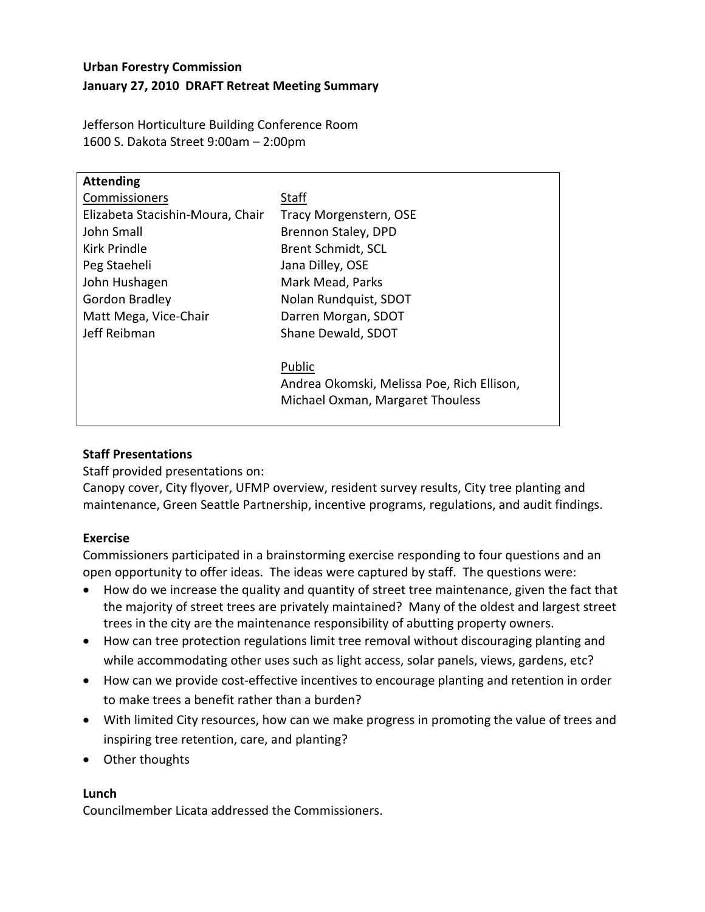# **Urban Forestry Commission January 27, 2010 DRAFT Retreat Meeting Summary**

Jefferson Horticulture Building Conference Room 1600 S. Dakota Street 9:00am – 2:00pm

| <b>Attending</b>                 |                                            |
|----------------------------------|--------------------------------------------|
| Commissioners                    | Staff                                      |
| Elizabeta Stacishin-Moura, Chair | Tracy Morgenstern, OSE                     |
| John Small                       | Brennon Staley, DPD                        |
| Kirk Prindle                     | <b>Brent Schmidt, SCL</b>                  |
| Peg Staeheli                     | Jana Dilley, OSE                           |
| John Hushagen                    | Mark Mead, Parks                           |
| Gordon Bradley                   | Nolan Rundquist, SDOT                      |
| Matt Mega, Vice-Chair            | Darren Morgan, SDOT                        |
| Jeff Reibman                     | Shane Dewald, SDOT                         |
|                                  |                                            |
|                                  | Public                                     |
|                                  | Andrea Okomski, Melissa Poe, Rich Ellison, |
|                                  | Michael Oxman, Margaret Thouless           |
|                                  |                                            |

## **Staff Presentations**

Staff provided presentations on:

Canopy cover, City flyover, UFMP overview, resident survey results, City tree planting and maintenance, Green Seattle Partnership, incentive programs, regulations, and audit findings.

## **Exercise**

Commissioners participated in a brainstorming exercise responding to four questions and an open opportunity to offer ideas. The ideas were captured by staff. The questions were:

- How do we increase the quality and quantity of street tree maintenance, given the fact that the majority of street trees are privately maintained? Many of the oldest and largest street trees in the city are the maintenance responsibility of abutting property owners.
- How can tree protection regulations limit tree removal without discouraging planting and while accommodating other uses such as light access, solar panels, views, gardens, etc?
- How can we provide cost-effective incentives to encourage planting and retention in order to make trees a benefit rather than a burden?
- With limited City resources, how can we make progress in promoting the value of trees and inspiring tree retention, care, and planting?
- Other thoughts

## **Lunch**

Councilmember Licata addressed the Commissioners.